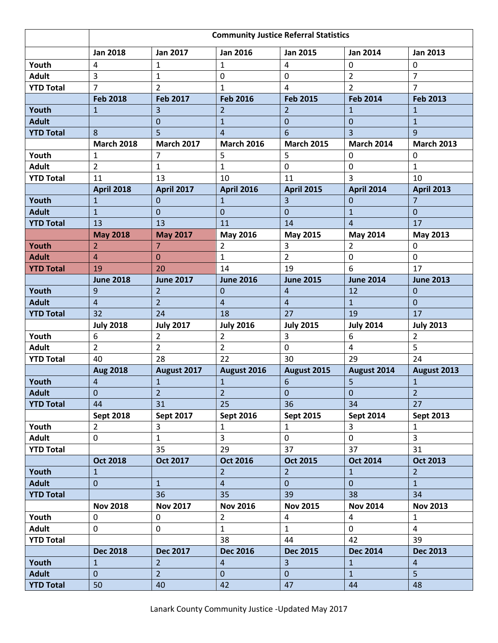|                  | <b>Community Justice Referral Statistics</b> |                   |                   |                   |                   |                   |
|------------------|----------------------------------------------|-------------------|-------------------|-------------------|-------------------|-------------------|
|                  | <b>Jan 2018</b>                              | <b>Jan 2017</b>   | <b>Jan 2016</b>   | <b>Jan 2015</b>   | <b>Jan 2014</b>   | <b>Jan 2013</b>   |
| Youth            | 4                                            | $\mathbf{1}$      | $\mathbf{1}$      | 4                 | 0                 | 0                 |
| <b>Adult</b>     | 3                                            | $\mathbf{1}$      | 0                 | 0                 | $\overline{2}$    | $\overline{7}$    |
| <b>YTD Total</b> | $\overline{7}$                               | $\overline{2}$    | $\mathbf{1}$      | 4                 | $\overline{2}$    | $\overline{7}$    |
|                  | <b>Feb 2018</b>                              | <b>Feb 2017</b>   | <b>Feb 2016</b>   | <b>Feb 2015</b>   | <b>Feb 2014</b>   | <b>Feb 2013</b>   |
| Youth            | $\mathbf{1}$                                 | 3                 | $\overline{2}$    | $\overline{2}$    | $\mathbf{1}$      | $\mathbf{1}$      |
| <b>Adult</b>     |                                              | $\overline{0}$    | $\mathbf{1}$      | $\mathbf 0$       | $\mathbf 0$       | $\mathbf{1}$      |
| <b>YTD Total</b> | 8                                            | 5                 | $\overline{4}$    | 6                 | $\overline{3}$    | 9                 |
|                  | <b>March 2018</b>                            | <b>March 2017</b> | <b>March 2016</b> | <b>March 2015</b> | <b>March 2014</b> | <b>March 2013</b> |
| Youth            | $\mathbf{1}$                                 | $\overline{7}$    | 5                 | 5                 | $\mathbf 0$       | 0                 |
| <b>Adult</b>     | $\overline{2}$                               | 1                 | $\mathbf{1}$      | 0                 | $\mathbf 0$       | 1                 |
| <b>YTD Total</b> | 11                                           | 13                | 10                | 11                | $\overline{3}$    | 10                |
|                  | <b>April 2018</b>                            | <b>April 2017</b> | <b>April 2016</b> | <b>April 2015</b> | <b>April 2014</b> | <b>April 2013</b> |
| Youth            | 1                                            | 0                 | $\mathbf{1}$      | 3                 | $\mathbf 0$       | $\overline{7}$    |
| <b>Adult</b>     | $\mathbf{1}$                                 | $\mathbf 0$       | $\overline{0}$    | $\Omega$          | $\mathbf{1}$      | 0                 |
| <b>YTD Total</b> | 13                                           | 13                | 11                | 14                | $\overline{4}$    | 17                |
|                  | <b>May 2018</b>                              | <b>May 2017</b>   | <b>May 2016</b>   | <b>May 2015</b>   | May 2014          | May 2013          |
| Youth            | $\overline{2}$                               | $\overline{7}$    | $\overline{2}$    | 3                 | $\overline{2}$    | 0                 |
| <b>Adult</b>     | 4                                            | $\overline{0}$    | $\mathbf{1}$      | $\overline{2}$    | 0                 | 0                 |
| <b>YTD Total</b> | 19                                           | 20                | 14                | 19                | 6                 | 17                |
|                  | <b>June 2018</b>                             | <b>June 2017</b>  | <b>June 2016</b>  | <b>June 2015</b>  | <b>June 2014</b>  | <b>June 2013</b>  |
| Youth            | 9                                            | $\overline{2}$    | 0                 | 4                 | 12                | 0                 |
| <b>Adult</b>     | $\overline{4}$                               | $\overline{2}$    | $\overline{4}$    | 4                 | $\mathbf{1}$      | $\mathbf{0}$      |
| <b>YTD Total</b> | 32                                           | 24                | 18                | 27                | 19                | 17                |
|                  | <b>July 2018</b>                             | <b>July 2017</b>  | <b>July 2016</b>  | <b>July 2015</b>  | <b>July 2014</b>  | <b>July 2013</b>  |
| Youth            | 6                                            | $\overline{a}$    | $\overline{2}$    | 3                 | 6                 | $\overline{2}$    |
| <b>Adult</b>     | $\overline{2}$                               | $\overline{2}$    | $\overline{2}$    | 0                 | $\overline{4}$    | 5                 |
| <b>YTD Total</b> | 40                                           | 28                | 22                | 30                | 29                | 24                |
|                  | <b>Aug 2018</b>                              | August 2017       | August 2016       | August 2015       | August 2014       | August 2013       |
| Youth            | $\overline{4}$                               | $\mathbf{1}$      | $\mathbf{1}$      | 6                 | 5                 | $\mathbf{1}$      |
| <b>Adult</b>     | $\overline{0}$                               | $\overline{2}$    | 2 <sup>7</sup>    | $\overline{0}$    | $\overline{0}$    | 2 <sup>1</sup>    |
| <b>YTD Total</b> | 44                                           | 31                | 25                | 36                | 34                | 27                |
|                  | <b>Sept 2018</b>                             | Sept 2017         | <b>Sept 2016</b>  | Sept 2015         | <b>Sept 2014</b>  | <b>Sept 2013</b>  |
| Youth            | 2 <sup>1</sup>                               | $\overline{3}$    | $\mathbf{1}$      | $\mathbf{1}$      | $\mathbf{3}$      | $\mathbf{1}$      |
| <b>Adult</b>     | $\mathbf 0$                                  | $\mathbf{1}$      | $\overline{3}$    | $\overline{0}$    | $\mathsf{O}$      | $\overline{3}$    |
| <b>YTD Total</b> |                                              | 35                | 29                | 37                | 37                | 31                |
|                  | <b>Oct 2018</b>                              | Oct 2017          | <b>Oct 2016</b>   | <b>Oct 2015</b>   | <b>Oct 2014</b>   | <b>Oct 2013</b>   |
| Youth            | $\mathbf{1}$                                 |                   | 2 <sup>1</sup>    | 2 <sup>1</sup>    | $\mathbf{1}$      | $\overline{2}$    |
| <b>Adult</b>     | $\overline{0}$                               | $\mathbf{1}$      | $\overline{4}$    | $\overline{0}$    | $\mathbf{0}$      | $\mathbf{1}$      |
| <b>YTD Total</b> |                                              | 36                | 35                | 39                | 38                | 34                |
|                  | <b>Nov 2018</b>                              | <b>Nov 2017</b>   | <b>Nov 2016</b>   | <b>Nov 2015</b>   | <b>Nov 2014</b>   | <b>Nov 2013</b>   |
| Youth            | 0                                            | 0                 | $\overline{2}$    | 4                 | 4                 | $\mathbf{1}$      |
| <b>Adult</b>     | 0                                            | 0                 | $\mathbf{1}$      | $\mathbf{1}$      | $\mathbf 0$       | $\overline{4}$    |
| <b>YTD Total</b> |                                              |                   | 38                | 44                | 42                | 39                |
|                  | <b>Dec 2018</b>                              | <b>Dec 2017</b>   | <b>Dec 2016</b>   | <b>Dec 2015</b>   | <b>Dec 2014</b>   | <b>Dec 2013</b>   |
| Youth            | $\mathbf{1}$                                 | $\overline{2}$    | $\overline{4}$    | $\overline{3}$    | $\mathbf{1}$      | $\overline{4}$    |
| <b>Adult</b>     | $\overline{0}$                               | 2 <sup>1</sup>    | $\overline{0}$    | $\overline{0}$    | $\mathbf{1}$      | 5 <sup>1</sup>    |
| <b>YTD Total</b> | 50                                           | 40                | 42                | 47                | 44                | 48                |